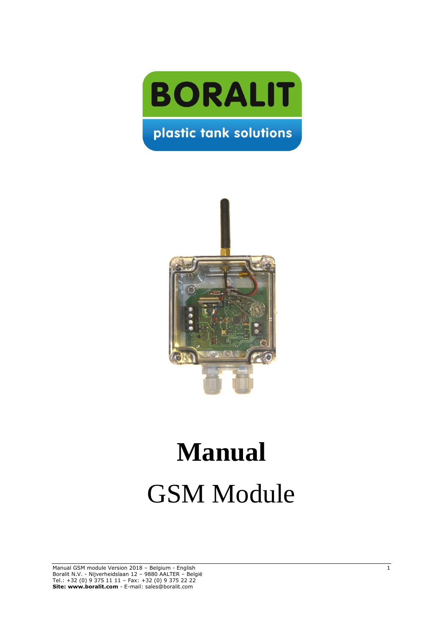

plastic tank solutions



# **Manual** GSM Module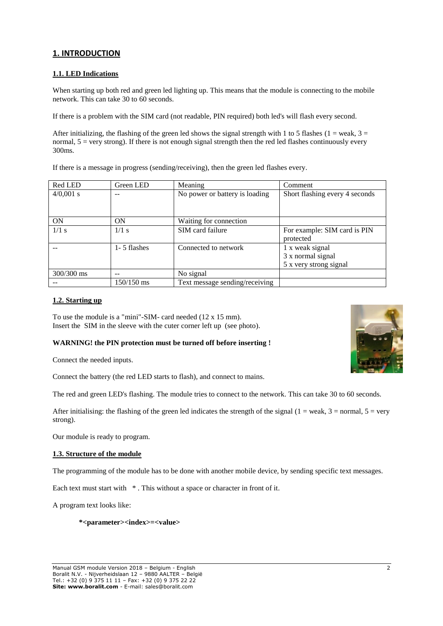# **1. INTRODUCTION**

# **1.1. LED Indications**

When starting up both red and green led lighting up. This means that the module is connecting to the mobile network. This can take 30 to 60 seconds.

If there is a problem with the SIM card (not readable, PIN required) both led's will flash every second.

After initializing, the flashing of the green led shows the signal strength with 1 to 5 flashes (1 = weak, 3 = normal,  $5 = \text{very strong}$ ). If there is not enough signal strength then the red led flashes continuously every 300ms.

If there is a message in progress (sending/receiving), then the green led flashes every.

| Red LED      | Green LED    | Meaning                        | Comment                                                        |
|--------------|--------------|--------------------------------|----------------------------------------------------------------|
| $4/0,001$ s  |              | No power or battery is loading | Short flashing every 4 seconds                                 |
| ON           | ON           | Waiting for connection         |                                                                |
| $1/1$ s      | $1/1$ s      | SIM card failure               | For example: SIM card is PIN<br>protected                      |
|              | 1-5 flashes  | Connected to network           | 1 x weak signal<br>3 x normal signal<br>5 x very strong signal |
| $300/300$ ms |              | No signal                      |                                                                |
|              | $150/150$ ms | Text message sending/receiving |                                                                |

# **1.2. Starting up**

To use the module is a "mini"-SIM- card needed (12 x 15 mm). Insert the SIM in the sleeve with the cuter corner left up (see photo).

# **WARNING! the PIN protection must be turned off before inserting !**

Connect the needed inputs.

Connect the battery (the red LED starts to flash), and connect to mains.

The red and green LED's flashing. The module tries to connect to the network. This can take 30 to 60 seconds.

After initialising: the flashing of the green led indicates the strength of the signal  $(1 = \text{weak}, 3 = \text{normal}, 5 = \text{very})$ strong).

Our module is ready to program.

# **1.3. Structure of the module**

The programming of the module has to be done with another mobile device, by sending specific text messages.

Each text must start with  $*$ . This without a space or character in front of it.

A program text looks like:

**\*<parameter><index>=<value>**

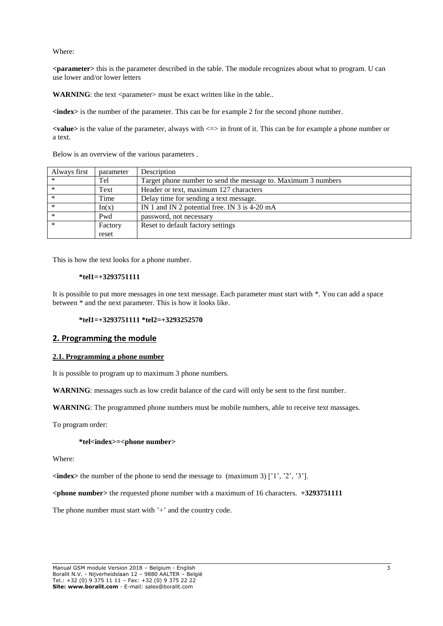Where:

**<parameter>** this is the parameter described in the table. The module recognizes about what to program. U can use lower and/or lower letters

**WARNING**: the text <parameter> must be exact written like in the table..

**<index>** is the number of the parameter. This can be for example 2 for the second phone number.

 $\langle$ **value>** is the value of the parameter, always with  $\langle \rangle$  => in front of it. This can be for example a phone number or a text.

Below is an overview of the various parameters .

| Always first | parameter | Description                                                   |
|--------------|-----------|---------------------------------------------------------------|
| $\ast$       | Tel       | Target phone number to send the message to. Maximum 3 numbers |
| $\ast$       | Text      | Header or text, maximum 127 characters                        |
| $\ast$       | Time      | Delay time for sending a text message.                        |
| $\ast$       | In(x)     | IN 1 and IN 2 potential free. IN 3 is $4-20$ mA               |
| $\ast$       | Pwd       | password, not necessary                                       |
| $\ast$       | Factory   | Reset to default factory settings                             |
|              | reset     |                                                               |

This is how the text looks for a phone number.

#### **\*tel1=+3293751111**

It is possible to put more messages in one text message. Each parameter must start with \*. You can add a space between \* and the next parameter. This is how it looks like.

#### **\*tel1=+3293751111 \*tel2=+3293252570**

## **2. Programming the module**

#### **2.1. Programming a phone number**

It is possible to program up to maximum 3 phone numbers.

**WARNING**: messages such as low credit balance of the card will only be sent to the first number.

**WARNING**: The programmed phone numbers must be mobile numbers, able to receive text massages.

To program order:

#### **\*tel<index>=<phone number>**

Where:

 $\langle$ **index**> the number of the phone to send the message to (maximum 3) ['1', '2', '3'].

**<phone number>** the requested phone number with a maximum of 16 characters. **+3293751111**

The phone number must start with '+' and the country code.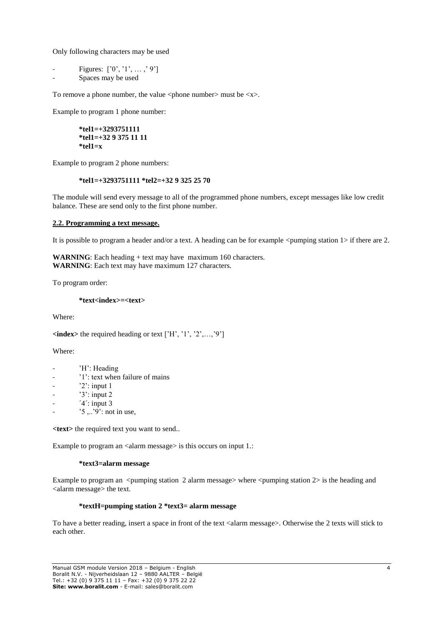Only following characters may be used

```
Figures: [0, 1, ..., 9]Spaces may be used
```
To remove a phone number, the value  $\langle$  phone number $\rangle$  must be  $\langle x \rangle$ .

Example to program 1 phone number:

**\*tel1=+3293751111 \*tel1=+32 9 375 11 11 \*tel1=x** 

Example to program 2 phone numbers:

#### **\*tel1=+3293751111 \*tel2=+32 9 325 25 70**

The module will send every message to all of the programmed phone numbers, except messages like low credit balance. These are send only to the first phone number.

# **2.2. Programming a text message.**

It is possible to program a header and/or a text. A heading can be for example <pumping station 1> if there are 2.

WARNING: Each heading + text may have maximum 160 characters. **WARNING**: Each text may have maximum 127 characters.

To program order:

#### **\*text<index>=<text>**

Where:

 $\langle$ **index**> the required heading or text ['H', '1', '2',...,'9']

Where:

- 'H': Heading
- '1': text when failure of mains
- $'2$ : input 1
- $'3'$ : input 2
- $4$ <sup>:</sup> input 3
- ' $5 \dots$ ' $9$ ': not in use,

**<text>** the required text you want to send..

Example to program an  $\alpha$  alarm message is this occurs on input 1.:

#### **\*text3=alarm message**

Example to program an  $\leq$ pumping station 2 alarm message $\geq$  where  $\leq$ pumping station 2 $\geq$  is the heading and <alarm message> the text.

# **\*textH=pumping station 2 \*text3= alarm message**

To have a better reading, insert a space in front of the text <alarm message>. Otherwise the 2 texts will stick to each other.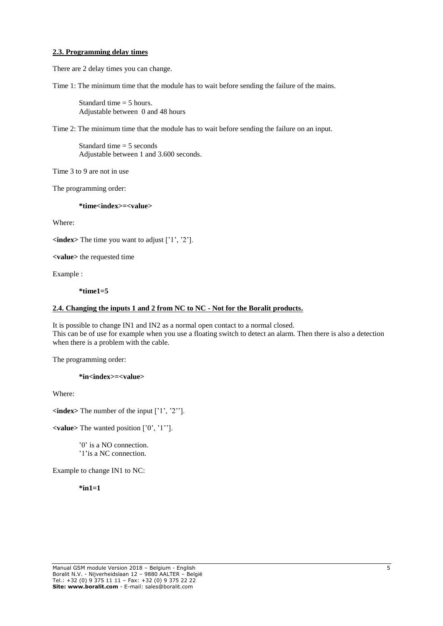#### **2.3. Programming delay times**

There are 2 delay times you can change.

Time 1: The minimum time that the module has to wait before sending the failure of the mains.

Standard time = 5 hours. Adjustable between 0 and 48 hours

Time 2: The minimum time that the module has to wait before sending the failure on an input.

Standard time = 5 seconds Adjustable between 1 and 3.600 seconds.

Time 3 to 9 are not in use

The programming order:

**\*time<index>=<value>**

Where:

**<index>** The time you want to adjust ['1', '2'].

**<value>** the requested time

Example :

**\*time1=5**

#### **2.4. Changing the inputs 1 and 2 from NC to NC - Not for the Boralit products.**

It is possible to change IN1 and IN2 as a normal open contact to a normal closed. This can be of use for example when you use a floating switch to detect an alarm. Then there is also a detection when there is a problem with the cable.

The programming order:

**\*in<index>=<value>**

Where:

**<index>** The number of the input ['1', '2''].

**<value>** The wanted position ['0', '1''].

'0' is a NO connection. '1'is a NC connection.

Example to change IN1 to NC:

**\*in1=1**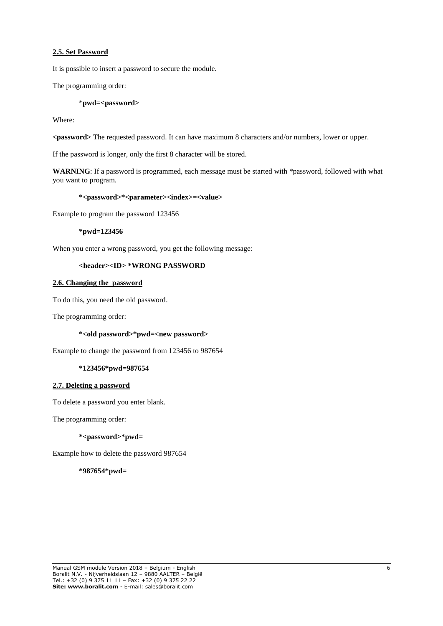# **2.5. Set Password**

It is possible to insert a password to secure the module.

The programming order:

#### \***pwd=<password>**

Where:

**<password>** The requested password. It can have maximum 8 characters and/or numbers, lower or upper.

If the password is longer, only the first 8 character will be stored.

**WARNING**: If a password is programmed, each message must be started with \*password, followed with what you want to program.

#### **\*<password>\*<parameter><index>=<value>**

Example to program the password 123456

# **\*pwd=123456**

When you enter a wrong password, you get the following message:

# **<header><ID> \*WRONG PASSWORD**

# **2.6. Changing the password**

To do this, you need the old password.

The programming order:

#### **\*<old password>\*pwd=<new password>**

Example to change the password from 123456 to 987654

#### **\*123456\*pwd=987654**

#### **2.7. Deleting a password**

To delete a password you enter blank.

The programming order:

## **\*<password>\*pwd=**

Example how to delete the password 987654

#### **\*987654\*pwd=**